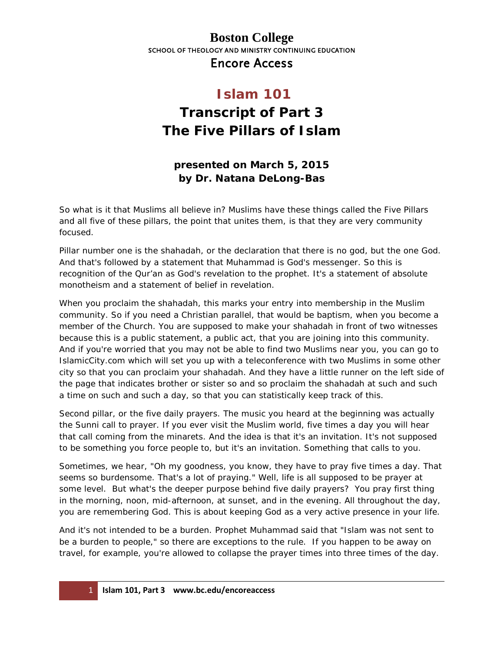#### **Boston College** SCHOOL OF THEOLOGY AND MINISTRY CONTINUING EDUCATION Encore Access

# **Islam 101 Transcript of Part 3 The Five Pillars of Islam**

#### **presented on March 5, 2015 by Dr. Natana DeLong-Bas**

So what is it that Muslims all believe in? Muslims have these things called the Five Pillars and all five of these pillars, the point that unites them, is that they are very community focused.

Pillar number one is the *shahadah*, or the declaration that there is no god, but the one God. And that's followed by a statement that Muhammad is God's messenger. So this is recognition of the Qur'an as God's revelation to the prophet. It's a statement of absolute monotheism and a statement of belief in revelation.

When you proclaim the shahadah, this marks your entry into membership in the Muslim community. So if you need a Christian parallel, that would be baptism, when you become a member of the Church. You are supposed to make your shahadah in front of two witnesses because this is a public statement, a public act, that you are joining into this community. And if you're worried that you may not be able to find two Muslims near you, you can go to IslamicCity.com which will set you up with a teleconference with two Muslims in some other city so that you can proclaim your shahadah. And they have a little runner on the left side of the page that indicates brother or sister so and so proclaim the shahadah at such and such a time on such and such a day, so that you can statistically keep track of this.

Second pillar, or the five daily prayers. The music you heard at the beginning was actually the Sunni call to prayer. If you ever visit the Muslim world, five times a day you will hear that call coming from the minarets. And the idea is that it's an invitation. It's not supposed to be something you force people to, but it's an invitation. Something that calls to you.

Sometimes, we hear, "Oh my goodness, you know, they have to pray five times a day. That seems so burdensome. That's a lot of praying." Well, life is all supposed to be prayer at some level. But what's the deeper purpose behind five daily prayers? You pray first thing in the morning, noon, mid-afternoon, at sunset, and in the evening. All throughout the day, you are remembering God. This is about keeping God as a very active presence in your life.

And it's not intended to be a burden. Prophet Muhammad said that "Islam was not sent to be a burden to people," so there are exceptions to the rule. If you happen to be away on travel, for example, you're allowed to collapse the prayer times into three times of the day.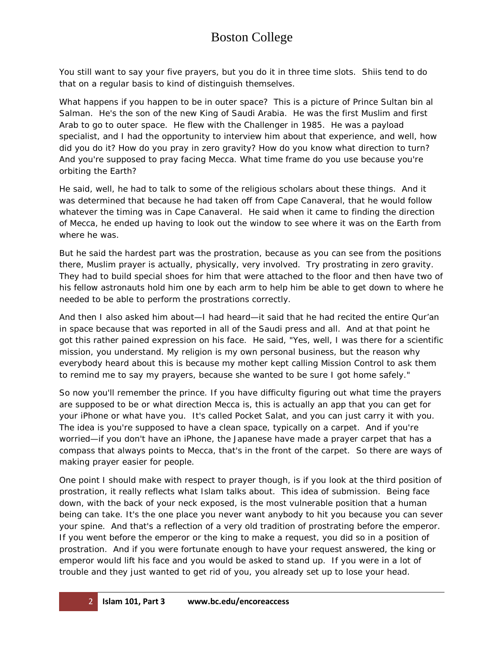You still want to say your five prayers, but you do it in three time slots. Shiis tend to do that on a regular basis to kind of distinguish themselves.

What happens if you happen to be in outer space? This is a picture of Prince Sultan bin al Salman. He's the son of the new King of Saudi Arabia. He was the first Muslim and first Arab to go to outer space. He flew with the Challenger in 1985. He was a payload specialist, and I had the opportunity to interview him about that experience, and well, how did you do it? How do you pray in zero gravity? How do you know what direction to turn? And you're supposed to pray facing Mecca. What time frame do you use because you're orbiting the Earth?

He said, well, he had to talk to some of the religious scholars about these things. And it was determined that because he had taken off from Cape Canaveral, that he would follow whatever the timing was in Cape Canaveral. He said when it came to finding the direction of Mecca, he ended up having to look out the window to see where it was on the Earth from where he was.

But he said the hardest part was the prostration, because as you can see from the positions there, Muslim prayer is actually, physically, very involved. Try prostrating in zero gravity. They had to build special shoes for him that were attached to the floor and then have two of his fellow astronauts hold him one by each arm to help him be able to get down to where he needed to be able to perform the prostrations correctly.

And then I also asked him about—I had heard—it said that he had recited the entire Qur'an in space because that was reported in all of the Saudi press and all. And at that point he got this rather pained expression on his face. He said, "Yes, well, I was there for a scientific mission, you understand. My religion is my own personal business, but the reason why everybody heard about this is because my mother kept calling Mission Control to ask them to remind me to say my prayers, because she wanted to be sure I got home safely."

So now you'll remember the prince. If you have difficulty figuring out what time the prayers are supposed to be or what direction Mecca is, this is actually an app that you can get for your iPhone or what have you. It's called Pocket Salat, and you can just carry it with you. The idea is you're supposed to have a clean space, typically on a carpet. And if you're worried—if you don't have an iPhone, the Japanese have made a prayer carpet that has a compass that always points to Mecca, that's in the front of the carpet. So there are ways of making prayer easier for people.

One point I should make with respect to prayer though, is if you look at the third position of prostration, it really reflects what Islam talks about. This idea of submission. Being face down, with the back of your neck exposed, is the most vulnerable position that a human being can take. It's the one place you never want anybody to hit you because you can sever your spine. And that's a reflection of a very old tradition of prostrating before the emperor. If you went before the emperor or the king to make a request, you did so in a position of prostration. And if you were fortunate enough to have your request answered, the king or emperor would lift his face and you would be asked to stand up. If you were in a lot of trouble and they just wanted to get rid of you, you already set up to lose your head.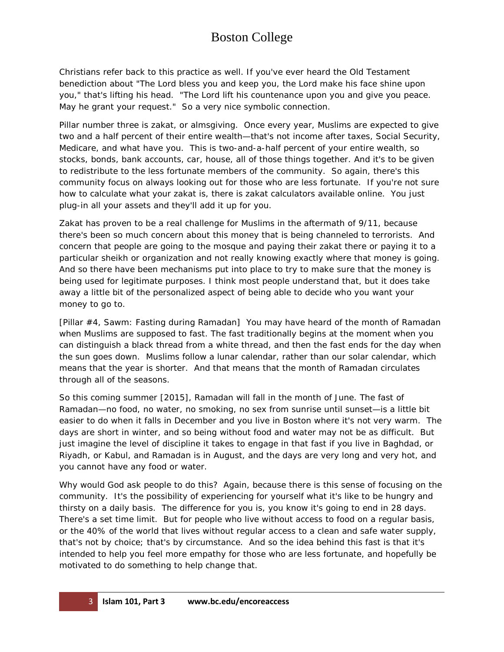Christians refer back to this practice as well. If you've ever heard the Old Testament benediction about "The Lord bless you and keep you, the Lord make his face shine upon you," that's lifting his head. "The Lord lift his countenance upon you and give you peace. May he grant your request." So a very nice symbolic connection.

Pillar number three is *zakat*, or almsgiving. Once every year, Muslims are expected to give two and a half percent of their entire wealth—that's not income after taxes, Social Security, Medicare, and what have you. This is two-and-a-half percent of your entire wealth, so stocks, bonds, bank accounts, car, house, all of those things together. And it's to be given to redistribute to the less fortunate members of the community. So again, there's this community focus on always looking out for those who are less fortunate. If you're not sure how to calculate what your zakat is, there is zakat calculators available online. You just plug-in all your assets and they'll add it up for you.

Zakat has proven to be a real challenge for Muslims in the aftermath of 9/11, because there's been so much concern about this money that is being channeled to terrorists. And concern that people are going to the mosque and paying their zakat there or paying it to a particular sheikh or organization and not really knowing exactly where that money is going. And so there have been mechanisms put into place to try to make sure that the money is being used for legitimate purposes. I think most people understand that, but it does take away a little bit of the personalized aspect of being able to decide who you want your money to go to.

[Pillar #4, *Sawm*: Fasting during Ramadan] You may have heard of the month of Ramadan when Muslims are supposed to fast. The fast traditionally begins at the moment when you can distinguish a black thread from a white thread, and then the fast ends for the day when the sun goes down. Muslims follow a lunar calendar, rather than our solar calendar, which means that the year is shorter. And that means that the month of Ramadan circulates through all of the seasons.

So this coming summer [2015], Ramadan will fall in the month of June. The fast of Ramadan—no food, no water, no smoking, no sex from sunrise until sunset—is a little bit easier to do when it falls in December and you live in Boston where it's not very warm. The days are short in winter, and so being without food and water may not be as difficult. But just imagine the level of discipline it takes to engage in that fast if you live in Baghdad, or Riyadh, or Kabul, and Ramadan is in August, and the days are very long and very hot, and you cannot have any food or water.

Why would God ask people to do this? Again, because there is this sense of focusing on the community. It's the possibility of experiencing for yourself what it's like to be hungry and thirsty on a daily basis. The difference for you is, you know it's going to end in 28 days. There's a set time limit. But for people who live without access to food on a regular basis, or the 40% of the world that lives without regular access to a clean and safe water supply, that's not by choice; that's by circumstance. And so the idea behind this fast is that it's intended to help you feel more empathy for those who are less fortunate, and hopefully be motivated to do something to help change that.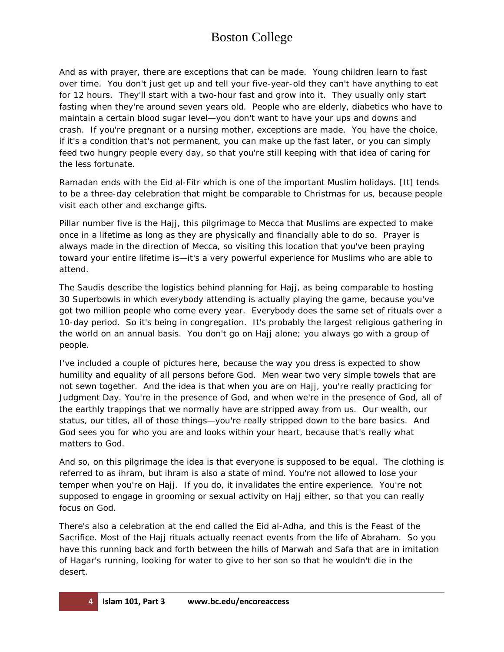And as with prayer, there are exceptions that can be made. Young children learn to fast over time. You don't just get up and tell your five-year-old they can't have anything to eat for 12 hours. They'll start with a two-hour fast and grow into it. They usually only start fasting when they're around seven years old. People who are elderly, diabetics who have to maintain a certain blood sugar level—you don't want to have your ups and downs and crash. If you're pregnant or a nursing mother, exceptions are made. You have the choice, if it's a condition that's not permanent, you can make up the fast later, or you can simply feed two hungry people every day, so that you're still keeping with that idea of caring for the less fortunate.

Ramadan ends with the *Eid al-Fitr* which is one of the important Muslim holidays. [It] tends to be a three-day celebration that might be comparable to Christmas for us, because people visit each other and exchange gifts.

Pillar number five is the *Hajj*, this pilgrimage to Mecca that Muslims are expected to make once in a lifetime as long as they are physically and financially able to do so. Prayer is always made in the direction of Mecca, so visiting this location that you've been praying toward your entire lifetime is—it's a very powerful experience for Muslims who are able to attend.

The Saudis describe the logistics behind planning for Hajj, as being comparable to hosting 30 Superbowls in which everybody attending is actually playing the game, because you've got two million people who come every year. Everybody does the same set of rituals over a 10-day period. So it's being in congregation. It's probably the largest religious gathering in the world on an annual basis. You don't go on Hajj alone; you always go with a group of people.

I've included a couple of pictures here, because the way you dress is expected to show humility and equality of all persons before God. Men wear two very simple towels that are not sewn together. And the idea is that when you are on Hajj, you're really practicing for Judgment Day. You're in the presence of God, and when we're in the presence of God, all of the earthly trappings that we normally have are stripped away from us. Our wealth, our status, our titles, all of those things—you're really stripped down to the bare basics. And God sees you for who you are and looks within your heart, because that's really what matters to God.

And so, on this pilgrimage the idea is that everyone is supposed to be equal. The clothing is referred to as *ihram*, but ihram is also a state of mind. You're not allowed to lose your temper when you're on Hajj. If you do, it invalidates the entire experience. You're not supposed to engage in grooming or sexual activity on Hajj either, so that you can really focus on God.

There's also a celebration at the end called the Eid al-Adha, and this is the Feast of the Sacrifice. Most of the Hajj rituals actually reenact events from the life of Abraham. So you have this running back and forth between the hills of Marwah and Safa that are in imitation of Hagar's running, looking for water to give to her son so that he wouldn't die in the desert.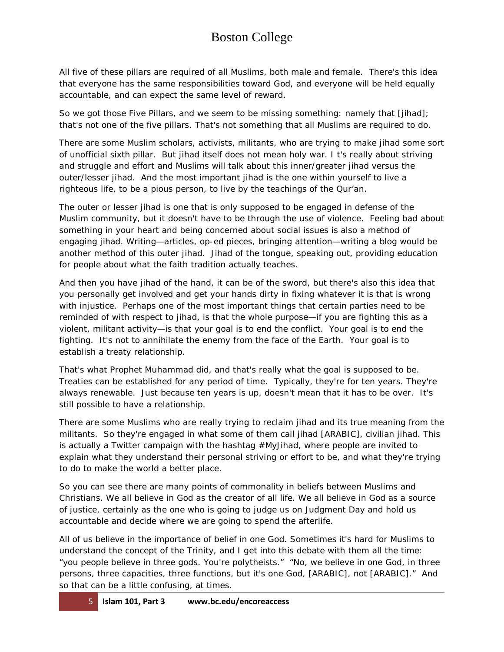All five of these pillars are required of all Muslims, both male and female. There's this idea that everyone has the same responsibilities toward God, and everyone will be held equally accountable, and can expect the same level of reward.

So we got those Five Pillars, and we seem to be missing something: namely that [*jihad*]; that's not one of the five pillars. That's not something that all Muslims are required to do.

There are some Muslim scholars, activists, militants, who are trying to make jihad some sort of unofficial sixth pillar. But jihad itself does not mean holy war. I t's really about striving and struggle and effort and Muslims will talk about this inner/greater jihad versus the outer/lesser jihad. And the most important jihad is the one within yourself to live a righteous life, to be a pious person, to live by the teachings of the Qur'an.

The outer or lesser jihad is one that is only supposed to be engaged in defense of the Muslim community, but it doesn't have to be through the use of violence. Feeling bad about something in your heart and being concerned about social issues is also a method of engaging jihad. Writing—articles, op-ed pieces, bringing attention—writing a blog would be another method of this outer jihad. Jihad of the tongue, speaking out, providing education for people about what the faith tradition actually teaches.

And then you have jihad of the hand, it can be of the sword, but there's also this idea that you personally get involved and get your hands dirty in fixing whatever it is that is wrong with injustice. Perhaps one of the most important things that certain parties need to be reminded of with respect to jihad, is that the whole purpose—if you are fighting this as a violent, militant activity—is that your goal is to end the conflict. Your goal is to end the fighting. It's not to annihilate the enemy from the face of the Earth. Your goal is to establish a treaty relationship.

That's what Prophet Muhammad did, and that's really what the goal is supposed to be. Treaties can be established for any period of time. Typically, they're for ten years. They're always renewable. Just because ten years is up, doesn't mean that it has to be over. It's still possible to have a relationship.

There are some Muslims who are really trying to reclaim jihad and its true meaning from the militants. So they're engaged in what some of them call jihad [ARABIC], civilian jihad. This is actually a Twitter campaign with the hashtag #MyJihad, where people are invited to explain what they understand their personal striving or effort to be, and what they're trying to do to make the world a better place.

So you can see there are many points of commonality in beliefs between Muslims and Christians. We all believe in God as the creator of all life. We all believe in God as a source of justice, certainly as the one who is going to judge us on Judgment Day and hold us accountable and decide where we are going to spend the afterlife.

All of us believe in the importance of belief in one God. Sometimes it's hard for Muslims to understand the concept of the Trinity, and I get into this debate with them all the time: "you people believe in three gods. You're polytheists." "No, we believe in one God, in three persons, three capacities, three functions, but it's one God, [ARABIC], not [ARABIC]." And so that can be a little confusing, at times.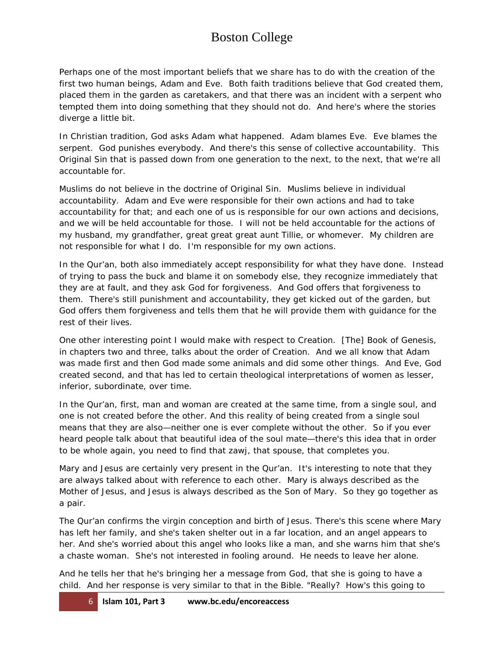Perhaps one of the most important beliefs that we share has to do with the creation of the first two human beings, Adam and Eve. Both faith traditions believe that God created them, placed them in the garden as caretakers, and that there was an incident with a serpent who tempted them into doing something that they should not do. And here's where the stories diverge a little bit.

In Christian tradition, God asks Adam what happened. Adam blames Eve. Eve blames the serpent. God punishes everybody. And there's this sense of collective accountability. This Original Sin that is passed down from one generation to the next, to the next, that we're all accountable for.

Muslims do not believe in the doctrine of Original Sin. Muslims believe in individual accountability. Adam and Eve were responsible for their own actions and had to take accountability for that; and each one of us is responsible for our own actions and decisions, and we will be held accountable for those. I will not be held accountable for the actions of my husband, my grandfather, great great great aunt Tillie, or whomever. My children are not responsible for what I do. I'm responsible for my own actions.

In the Qur'an, both also immediately accept responsibility for what they have done. Instead of trying to pass the buck and blame it on somebody else, they recognize immediately that they are at fault, and they ask God for forgiveness. And God offers that forgiveness to them. There's still punishment and accountability, they get kicked out of the garden, but God offers them forgiveness and tells them that he will provide them with guidance for the rest of their lives.

One other interesting point I would make with respect to Creation. [The] Book of Genesis, in chapters two and three, talks about the order of Creation. And we all know that Adam was made first and then God made some animals and did some other things. And Eve, God created second, and that has led to certain theological interpretations of women as lesser, inferior, subordinate, over time.

In the Qur'an, first, man and woman are created at the same time, from a single soul, and one is not created before the other. And this reality of being created from a single soul means that they are also—neither one is ever complete without the other. So if you ever heard people talk about that beautiful idea of the soul mate—there's this idea that in order to be whole again, you need to find that *zawj*, that spouse, that completes you.

Mary and Jesus are certainly very present in the Qur'an. It's interesting to note that they are always talked about with reference to each other. Mary is always described as the Mother of Jesus, and Jesus is always described as the Son of Mary. So they go together as a pair.

The Qur'an confirms the virgin conception and birth of Jesus. There's this scene where Mary has left her family, and she's taken shelter out in a far location, and an angel appears to her. And she's worried about this angel who looks like a man, and she warns him that she's a chaste woman. She's not interested in fooling around. He needs to leave her alone.

And he tells her that he's bringing her a message from God, that she is going to have a child. And her response is very similar to that in the Bible. "Really? How's this going to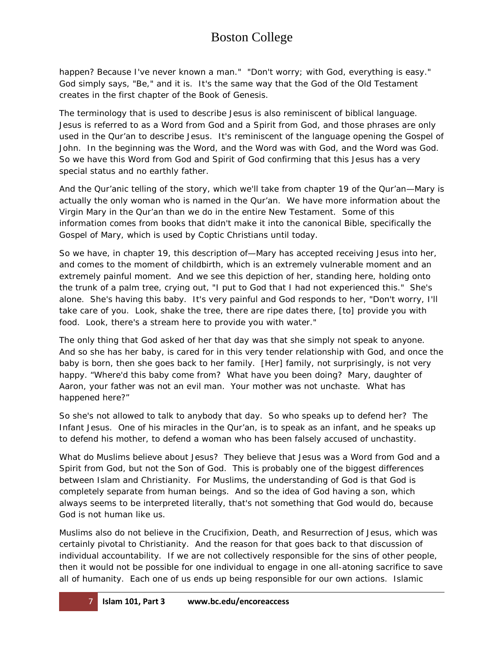happen? Because I've never known a man." "Don't worry; with God, everything is easy." God simply says, "Be," and it is. It's the same way that the God of the Old Testament creates in the first chapter of the Book of Genesis.

The terminology that is used to describe Jesus is also reminiscent of biblical language. Jesus is referred to as a Word from God and a Spirit from God, and those phrases are only used in the Qur'an to describe Jesus. It's reminiscent of the language opening the Gospel of John. In the beginning was the Word, and the Word was with God, and the Word was God. So we have this Word from God and Spirit of God confirming that this Jesus has a very special status and no earthly father.

And the Qur'anic telling of the story, which we'll take from chapter 19 of the Qur'an—Mary is actually the only woman who is named in the Qur'an. We have more information about the Virgin Mary in the Qur'an than we do in the entire New Testament. Some of this information comes from books that didn't make it into the canonical Bible, specifically the Gospel of Mary, which is used by Coptic Christians until today.

So we have, in chapter 19, this description of—Mary has accepted receiving Jesus into her, and comes to the moment of childbirth, which is an extremely vulnerable moment and an extremely painful moment. And we see this depiction of her, standing here, holding onto the trunk of a palm tree, crying out, "I put to God that I had not experienced this." She's alone. She's having this baby. It's very painful and God responds to her, "Don't worry, I'll take care of you. Look, shake the tree, there are ripe dates there, [to] provide you with food. Look, there's a stream here to provide you with water."

The only thing that God asked of her that day was that she simply not speak to anyone. And so she has her baby, is cared for in this very tender relationship with God, and once the baby is born, then she goes back to her family. [Her] family, not surprisingly, is not very happy. "Where'd this baby come from? What have you been doing? Mary, daughter of Aaron, your father was not an evil man. Your mother was not unchaste. What has happened here?"

So she's not allowed to talk to anybody that day. So who speaks up to defend her? The Infant Jesus. One of his miracles in the Qur'an, is to speak as an infant, and he speaks up to defend his mother, to defend a woman who has been falsely accused of unchastity.

What do Muslims believe about Jesus? They believe that Jesus was a Word from God and a Spirit from God, but not the Son of God. This is probably one of the biggest differences between Islam and Christianity. For Muslims, the understanding of God is that God is completely separate from human beings. And so the idea of God having a son, which always seems to be interpreted literally, that's not something that God would do, because God is not human like us.

Muslims also do not believe in the Crucifixion, Death, and Resurrection of Jesus, which was certainly pivotal to Christianity. And the reason for that goes back to that discussion of individual accountability. If we are not collectively responsible for the sins of other people, then it would not be possible for one individual to engage in one all-atoning sacrifice to save all of humanity. Each one of us ends up being responsible for our own actions. Islamic